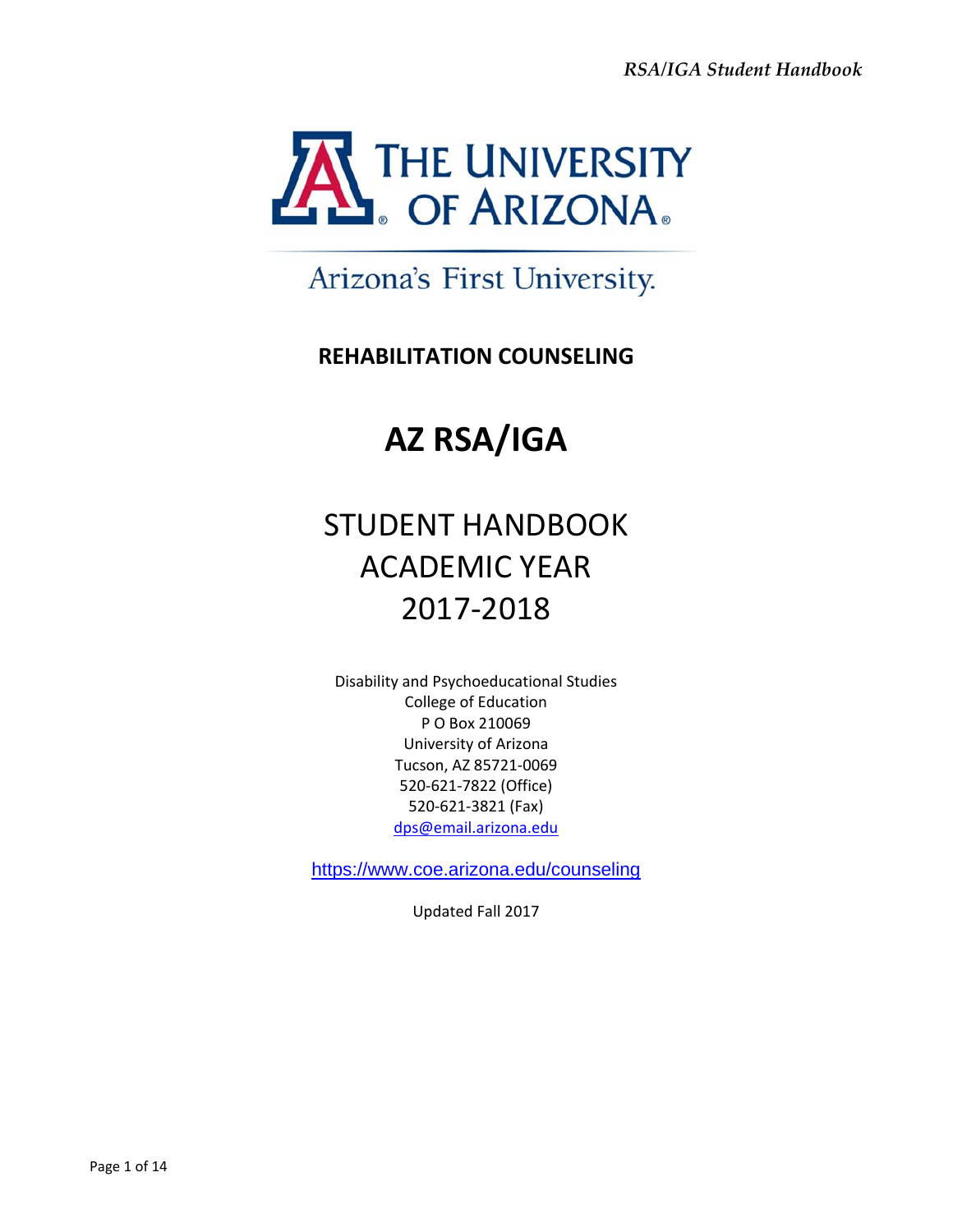

## Arizona's First University.

## **REHABILITATION COUNSELING**

# **AZ RSA/IGA**

# STUDENT HANDBOOK ACADEMIC YEAR 2017‐2018

Disability and Psychoeducational Studies College of Education P O Box 210069 University of Arizona Tucson, AZ 85721‐0069 520‐621‐7822 (Office) 520‐621‐3821 (Fax) dps@email.arizona.edu

https://www.coe.arizona.edu/counseling

Updated Fall 2017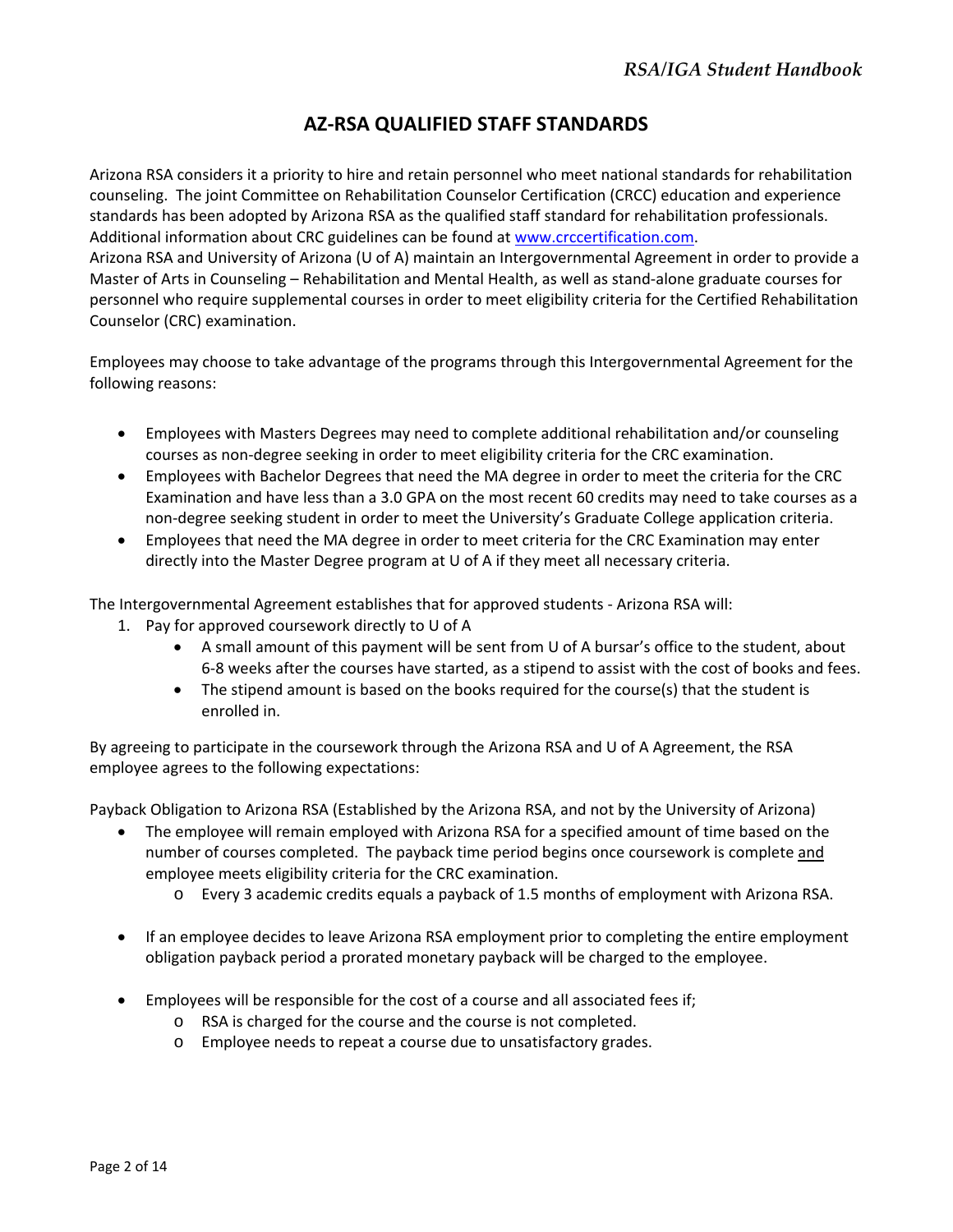### **AZ‐RSA QUALIFIED STAFF STANDARDS**

Arizona RSA considers it a priority to hire and retain personnel who meet national standards for rehabilitation counseling. The joint Committee on Rehabilitation Counselor Certification (CRCC) education and experience standards has been adopted by Arizona RSA as the qualified staff standard for rehabilitation professionals. Additional information about CRC guidelines can be found at www.crccertification.com. Arizona RSA and University of Arizona (U of A) maintain an Intergovernmental Agreement in order to provide a

Master of Arts in Counseling – Rehabilitation and Mental Health, as well as stand‐alone graduate courses for personnel who require supplemental courses in order to meet eligibility criteria for the Certified Rehabilitation Counselor (CRC) examination.

Employees may choose to take advantage of the programs through this Intergovernmental Agreement for the following reasons:

- Employees with Masters Degrees may need to complete additional rehabilitation and/or counseling courses as non‐degree seeking in order to meet eligibility criteria for the CRC examination.
- Employees with Bachelor Degrees that need the MA degree in order to meet the criteria for the CRC Examination and have less than a 3.0 GPA on the most recent 60 credits may need to take courses as a non‐degree seeking student in order to meet the University's Graduate College application criteria.
- Employees that need the MA degree in order to meet criteria for the CRC Examination may enter directly into the Master Degree program at U of A if they meet all necessary criteria.

The Intergovernmental Agreement establishes that for approved students ‐ Arizona RSA will:

- 1. Pay for approved coursework directly to U of A
	- A small amount of this payment will be sent from U of A bursar's office to the student, about 6‐8 weeks after the courses have started, as a stipend to assist with the cost of books and fees.
	- The stipend amount is based on the books required for the course(s) that the student is enrolled in.

By agreeing to participate in the coursework through the Arizona RSA and U of A Agreement, the RSA employee agrees to the following expectations:

Payback Obligation to Arizona RSA (Established by the Arizona RSA, and not by the University of Arizona)

- The employee will remain employed with Arizona RSA for a specified amount of time based on the number of courses completed. The payback time period begins once coursework is complete and employee meets eligibility criteria for the CRC examination.
	- o Every 3 academic credits equals a payback of 1.5 months of employment with Arizona RSA.
- If an employee decides to leave Arizona RSA employment prior to completing the entire employment obligation payback period a prorated monetary payback will be charged to the employee.
- Employees will be responsible for the cost of a course and all associated fees if;
	- o RSA is charged for the course and the course is not completed.
	- o Employee needs to repeat a course due to unsatisfactory grades.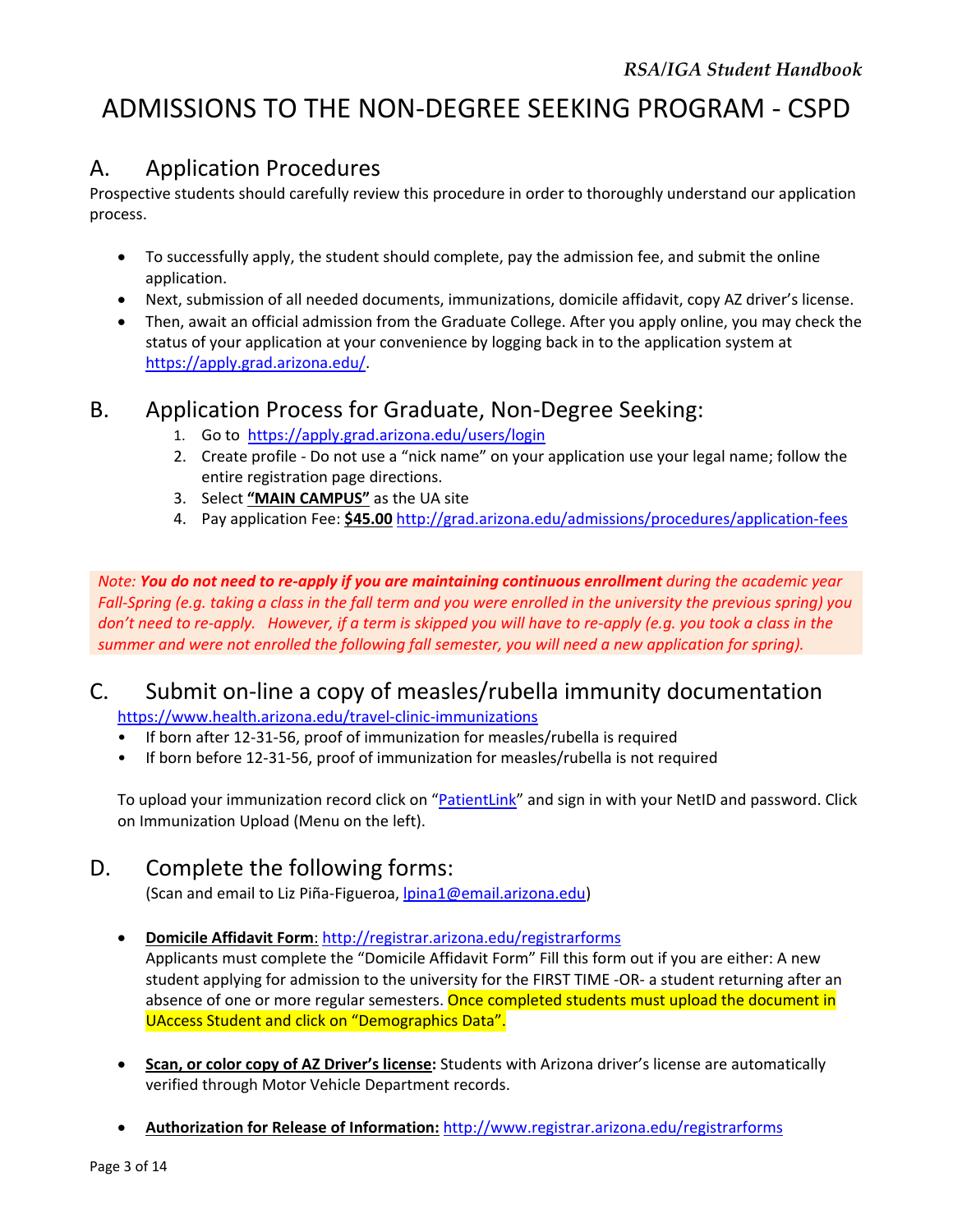## ADMISSIONS TO THE NON‐DEGREE SEEKING PROGRAM ‐ CSPD

## A. Application Procedures

Prospective students should carefully review this procedure in order to thoroughly understand our application process.

- To successfully apply, the student should complete, pay the admission fee, and submit the online application.
- Next, submission of all needed documents, immunizations, domicile affidavit, copy AZ driver's license.
- Then, await an official admission from the Graduate College. After you apply online, you may check the status of your application at your convenience by logging back in to the application system at https://apply.grad.arizona.edu/.

### B. Application Process for Graduate, Non‐Degree Seeking:

- 1. Go to https://apply.grad.arizona.edu/users/login
- 2. Create profile Do not use a "nick name" on your application use your legal name; follow the entire registration page directions.
- 3. Select **"MAIN CAMPUS"** as the UA site
- 4. Pay application Fee: **\$45.00** http://grad.arizona.edu/admissions/procedures/application‐fees

Note: You do not need to re-apply if you are maintaining continuous enrollment during the academic year Fall-Spring (e.g. taking a class in the fall term and you were enrolled in the university the previous spring) you don't need to re-apply. However, if a term is skipped you will have to re-apply (e.g. you took a class in the *summer and were not enrolled the following fall semester, you will need a new application for spring).*

## C. Submit on‐line a copy of measles/rubella immunity documentation

https://www.health.arizona.edu/travel‐clinic‐immunizations

- If born after 12‐31‐56, proof of immunization for measles/rubella is required
- If born before 12-31-56, proof of immunization for measles/rubella is not required

To upload your immunization record click on "PatientLink" and sign in with your NetID and password. Click on Immunization Upload (Menu on the left).

### D. Complete the following forms:

(Scan and email to Liz Piña‐Figueroa, lpina1@email.arizona.edu)

#### **Domicile Affidavit Form**: http://registrar.arizona.edu/registrarforms

Applicants must complete the "Domicile Affidavit Form" Fill this form out if you are either: A new student applying for admission to the university for the FIRST TIME ‐OR‐ a student returning after an absence of one or more regular semesters. Once completed students must upload the document in UAccess Student and click on "Demographics Data".

- **Scan, or color copy of AZ Driver's license:** Students with Arizona driver's license are automatically verified through Motor Vehicle Department records.
- **Authorization for Release of Information:** http://www.registrar.arizona.edu/registrarforms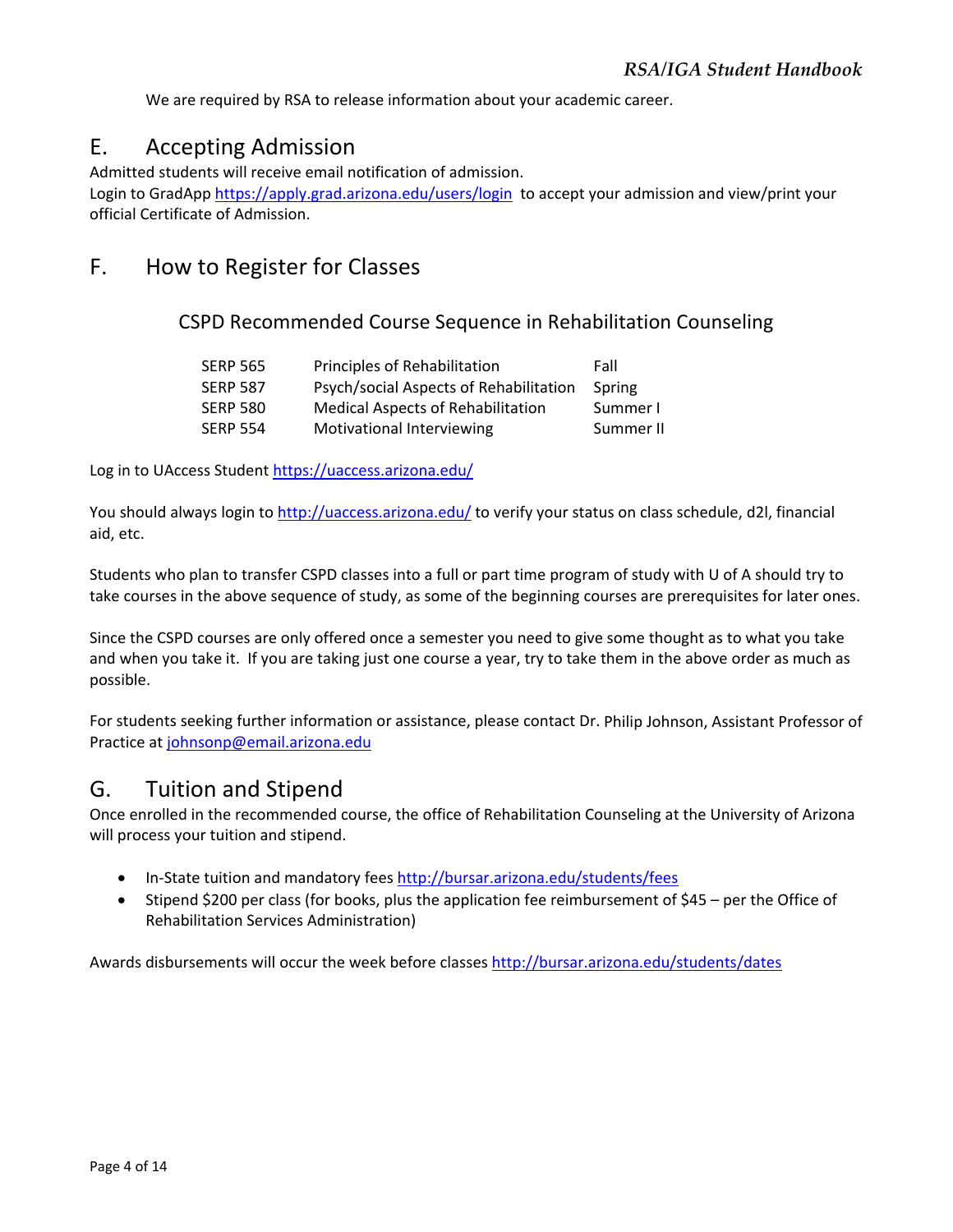We are required by RSA to release information about your academic career.

## E. Accepting Admission

Admitted students will receive email notification of admission.

Login to GradApp https://apply.grad.arizona.edu/users/login to accept your admission and view/print your official Certificate of Admission.

## F. How to Register for Classes

CSPD Recommended Course Sequence in Rehabilitation Counseling

| <b>SERP 565</b> | Principles of Rehabilitation             | Fall      |
|-----------------|------------------------------------------|-----------|
| <b>SERP 587</b> | Psych/social Aspects of Rehabilitation   | Spring    |
| <b>SERP 580</b> | <b>Medical Aspects of Rehabilitation</b> | Summer I  |
| <b>SERP 554</b> | Motivational Interviewing                | Summer II |

Log in to UAccess Student https://uaccess.arizona.edu/

You should always login to http://uaccess.arizona.edu/ to verify your status on class schedule, d2l, financial aid, etc.

Students who plan to transfer CSPD classes into a full or part time program of study with U of A should try to take courses in the above sequence of study, as some of the beginning courses are prerequisites for later ones.

Since the CSPD courses are only offered once a semester you need to give some thought as to what you take and when you take it. If you are taking just one course a year, try to take them in the above order as much as possible.

For students seeking further information or assistance, please contact Dr. Philip Johnson, Assistant Professor of Practice at johnsonp@email.arizona.edu

## G. Tuition and Stipend

Once enrolled in the recommended course, the office of Rehabilitation Counseling at the University of Arizona will process your tuition and stipend.

- In-State tuition and mandatory fees http://bursar.arizona.edu/students/fees
- Stipend \$200 per class (for books, plus the application fee reimbursement of \$45 per the Office of Rehabilitation Services Administration)

Awards disbursements will occur the week before classes http://bursar.arizona.edu/students/dates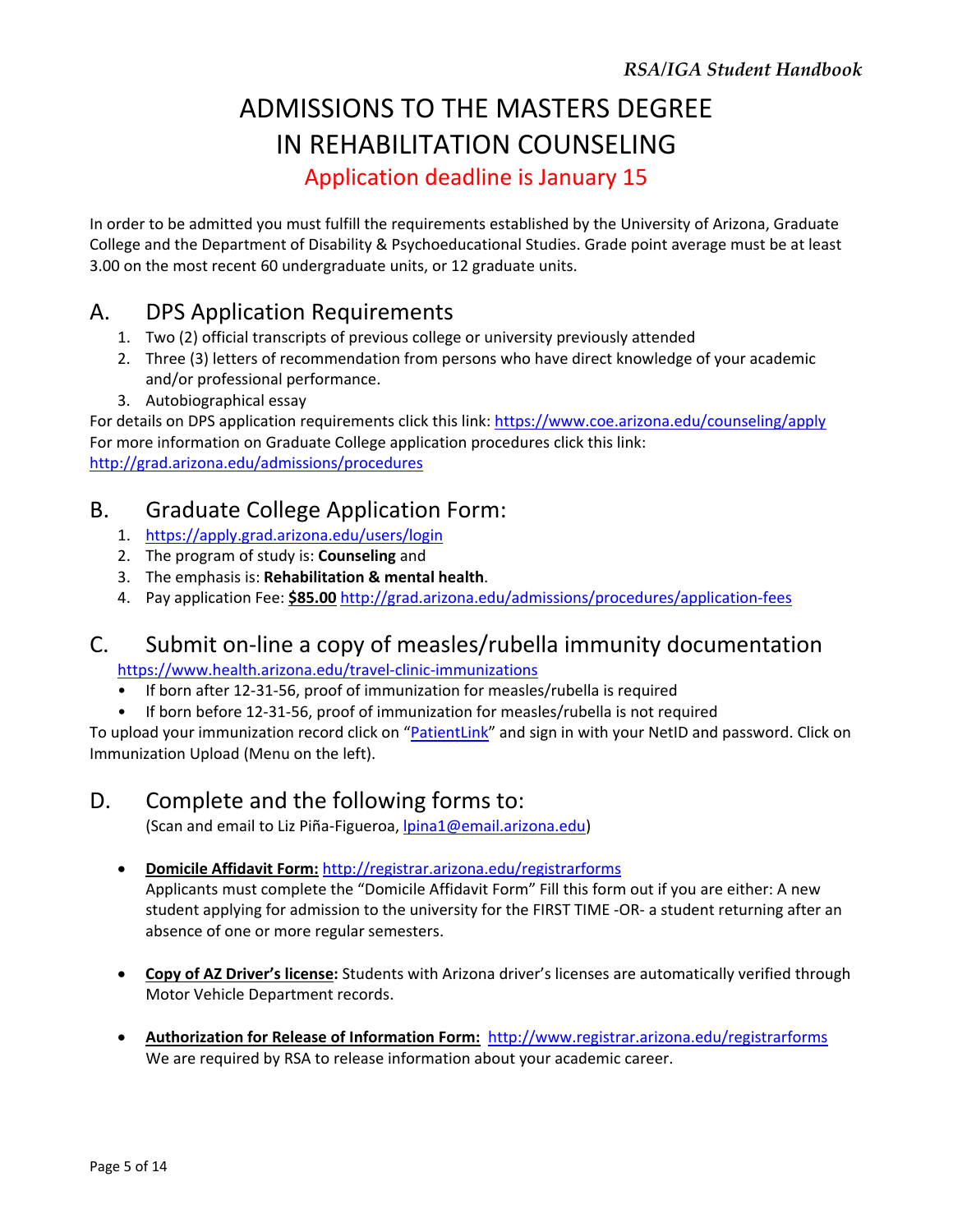## ADMISSIONS TO THE MASTERS DEGREE IN REHABILITATION COUNSELING Application deadline is January 15

In order to be admitted you must fulfill the requirements established by the University of Arizona, Graduate College and the Department of Disability & Psychoeducational Studies. Grade point average must be at least 3.00 on the most recent 60 undergraduate units, or 12 graduate units.

## A. DPS Application Requirements

- 1. Two (2) official transcripts of previous college or university previously attended
- 2. Three (3) letters of recommendation from persons who have direct knowledge of your academic and/or professional performance.
- 3. Autobiographical essay

For details on DPS application requirements click this link: https://www.coe.arizona.edu/counseling/apply For more information on Graduate College application procedures click this link: http://grad.arizona.edu/admissions/procedures

## B. Graduate College Application Form:

- 1. https://apply.grad.arizona.edu/users/login
- 2. The program of study is: **Counseling** and
- 3. The emphasis is: **Rehabilitation & mental health**.
- 4. Pay application Fee: **\$85.00** http://grad.arizona.edu/admissions/procedures/application‐fees

## C. Submit on‐line a copy of measles/rubella immunity documentation

https://www.health.arizona.edu/travel‐clinic‐immunizations

- If born after 12-31-56, proof of immunization for measles/rubella is required
- If born before 12-31-56, proof of immunization for measles/rubella is not required

To upload your immunization record click on "PatientLink" and sign in with your NetID and password. Click on Immunization Upload (Menu on the left).

### D. Complete and the following forms to:

(Scan and email to Liz Piña-Figueroa, lpina1@email.arizona.edu)

- **Domicile Affidavit Form:** http://registrar.arizona.edu/registrarforms Applicants must complete the "Domicile Affidavit Form" Fill this form out if you are either: A new student applying for admission to the university for the FIRST TIME ‐OR‐ a student returning after an absence of one or more regular semesters.
- **Copy of AZ Driver's license:** Students with Arizona driver's licenses are automatically verified through Motor Vehicle Department records.
- **Authorization for Release of Information Form:** http://www.registrar.arizona.edu/registrarforms We are required by RSA to release information about your academic career.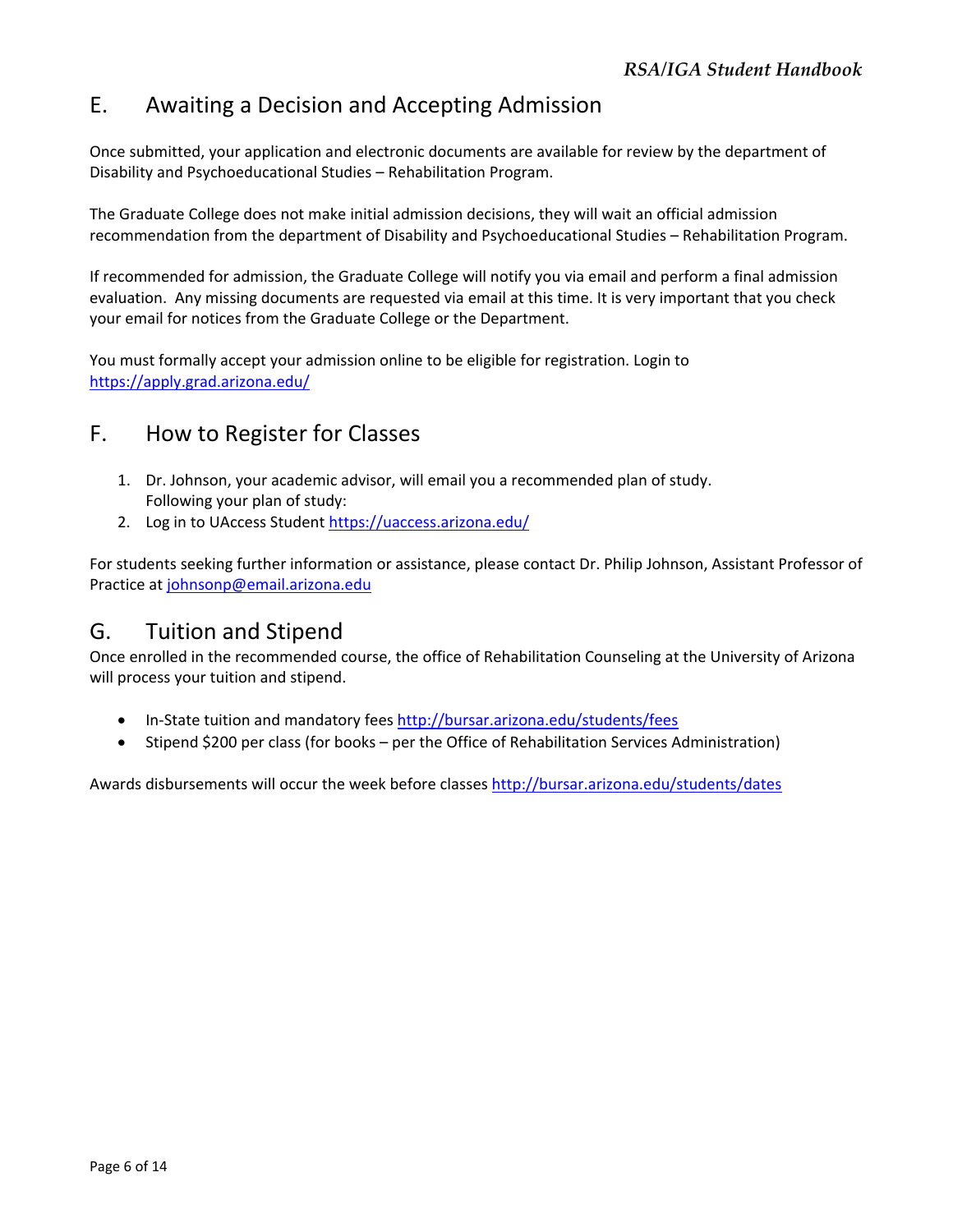## E. Awaiting a Decision and Accepting Admission

Once submitted, your application and electronic documents are available for review by the department of Disability and Psychoeducational Studies – Rehabilitation Program.

The Graduate College does not make initial admission decisions, they will wait an official admission recommendation from the department of Disability and Psychoeducational Studies – Rehabilitation Program.

If recommended for admission, the Graduate College will notify you via email and perform a final admission evaluation. Any missing documents are requested via email at this time. It is very important that you check your email for notices from the Graduate College or the Department.

You must formally accept your admission online to be eligible for registration. Login to https://apply.grad.arizona.edu/

## F. How to Register for Classes

- 1. Dr. Johnson, your academic advisor, will email you a recommended plan of study. Following your plan of study:
- 2. Log in to UAccess Student https://uaccess.arizona.edu/

For students seeking further information or assistance, please contact Dr. Philip Johnson, Assistant Professor of Practice at johnsonp@email.arizona.edu

### G. Tuition and Stipend

Once enrolled in the recommended course, the office of Rehabilitation Counseling at the University of Arizona will process your tuition and stipend.

- In-State tuition and mandatory fees http://bursar.arizona.edu/students/fees
- Stipend \$200 per class (for books per the Office of Rehabilitation Services Administration)

Awards disbursements will occur the week before classes http://bursar.arizona.edu/students/dates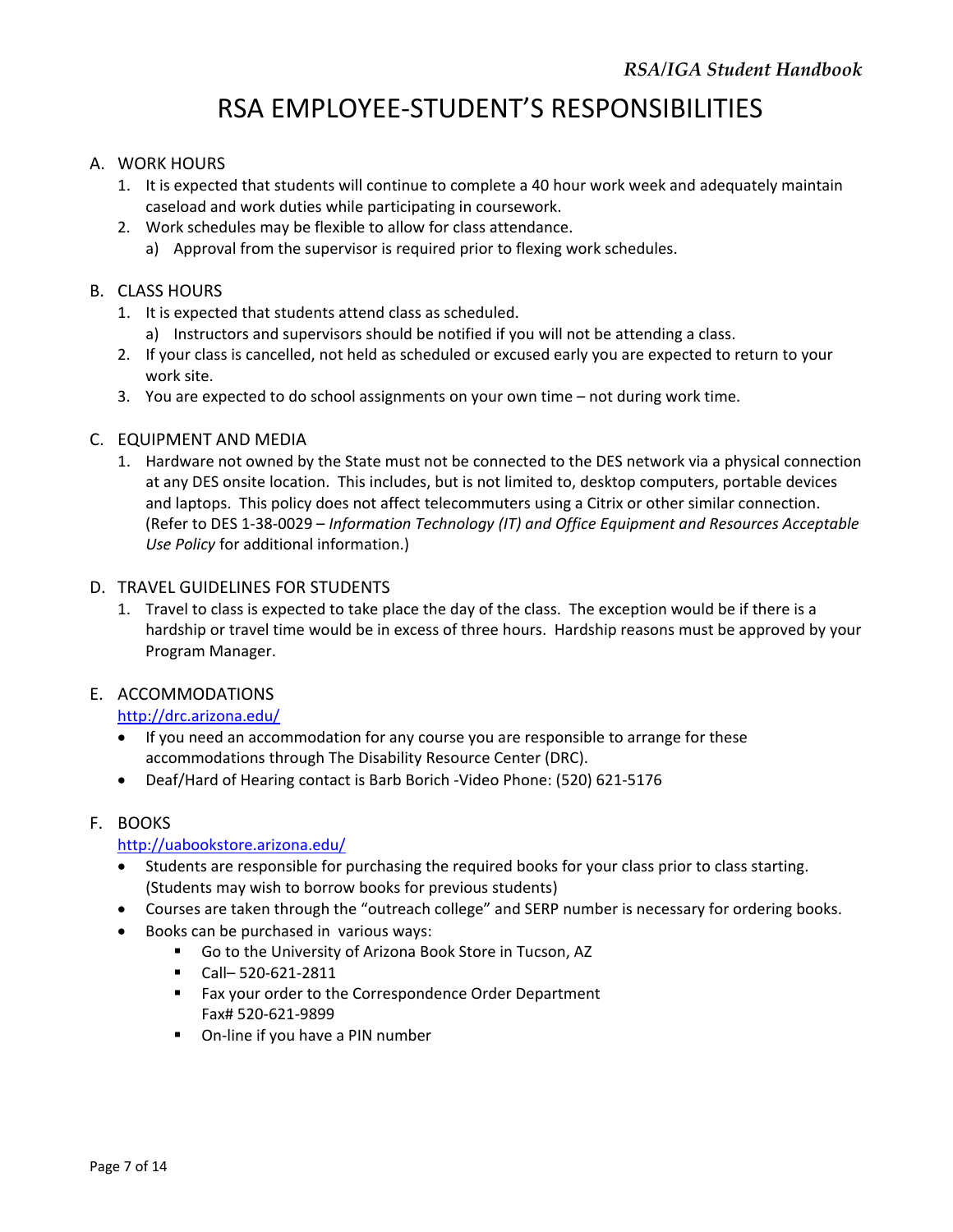## RSA EMPLOYEE‐STUDENT'S RESPONSIBILITIES

#### A. WORK HOURS

- 1. It is expected that students will continue to complete a 40 hour work week and adequately maintain caseload and work duties while participating in coursework.
- 2. Work schedules may be flexible to allow for class attendance.
	- a) Approval from the supervisor is required prior to flexing work schedules.

#### B. CLASS HOURS

- 1. It is expected that students attend class as scheduled. a) Instructors and supervisors should be notified if you will not be attending a class.
- 2. If your class is cancelled, not held as scheduled or excused early you are expected to return to your work site.
- 3. You are expected to do school assignments on your own time not during work time.

#### C. EQUIPMENT AND MEDIA

1. Hardware not owned by the State must not be connected to the DES network via a physical connection at any DES onsite location. This includes, but is not limited to, desktop computers, portable devices and laptops. This policy does not affect telecommuters using a Citrix or other similar connection. (Refer to DES 1‐38‐0029 – *Information Technology (IT) and Office Equipment and Resources Acceptable Use Policy* for additional information.)

#### D. TRAVEL GUIDELINES FOR STUDENTS

1. Travel to class is expected to take place the day of the class. The exception would be if there is a hardship or travel time would be in excess of three hours. Hardship reasons must be approved by your Program Manager.

#### E. ACCOMMODATIONS

#### http://drc.arizona.edu/

- If you need an accommodation for any course you are responsible to arrange for these accommodations through The Disability Resource Center (DRC).
- Deaf/Hard of Hearing contact is Barb Borich -Video Phone: (520) 621-5176

#### F. BOOKS

#### http://uabookstore.arizona.edu/

- Students are responsible for purchasing the required books for your class prior to class starting. (Students may wish to borrow books for previous students)
- Courses are taken through the "outreach college" and SERP number is necessary for ordering books.
- Books can be purchased in various ways:
	- Go to the University of Arizona Book Store in Tucson, AZ
	- Call-520-621-2811
	- **Fax your order to the Correspondence Order Department** Fax# 520‐621‐9899
	- On-line if you have a PIN number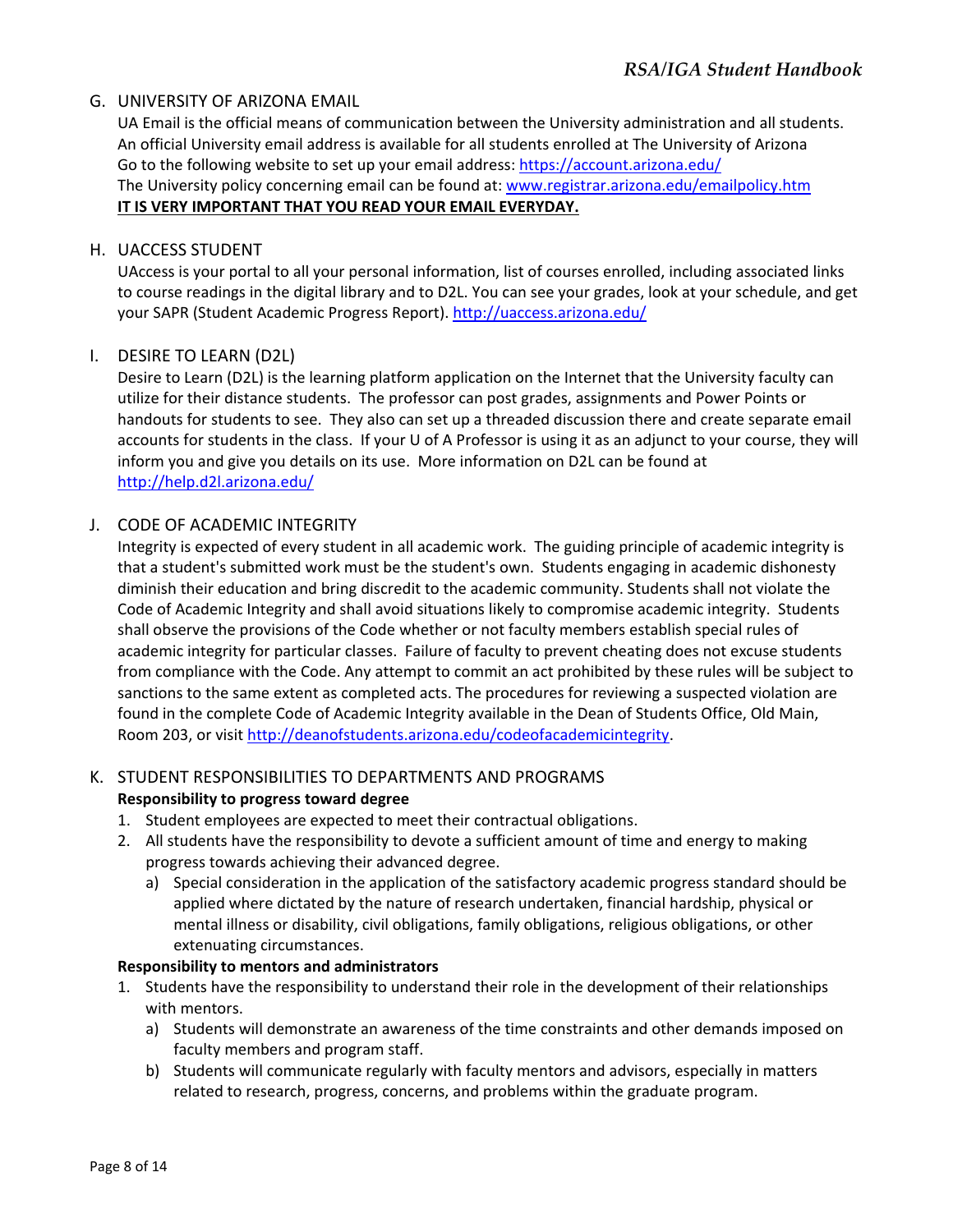#### G. UNIVERSITY OF ARIZONA EMAIL

UA Email is the official means of communication between the University administration and all students. An official University email address is available for all students enrolled at The University of Arizona Go to the following website to set up your email address: https://account.arizona.edu/ The University policy concerning email can be found at: www.registrar.arizona.edu/emailpolicy.htm **IT IS VERY IMPORTANT THAT YOU READ YOUR EMAIL EVERYDAY.**

#### H. UACCESS STUDENT

UAccess is your portal to all your personal information, list of courses enrolled, including associated links to course readings in the digital library and to D2L. You can see your grades, look at your schedule, and get your SAPR (Student Academic Progress Report). http://uaccess.arizona.edu/

#### I. DESIRE TO LEARN (D2L)

Desire to Learn (D2L) is the learning platform application on the Internet that the University faculty can utilize for their distance students. The professor can post grades, assignments and Power Points or handouts for students to see. They also can set up a threaded discussion there and create separate email accounts for students in the class. If your U of A Professor is using it as an adjunct to your course, they will inform you and give you details on its use. More information on D2L can be found at http://help.d2l.arizona.edu/

#### J. CODE OF ACADEMIC INTEGRITY

Integrity is expected of every student in all academic work. The guiding principle of academic integrity is that a student's submitted work must be the student's own. Students engaging in academic dishonesty diminish their education and bring discredit to the academic community. Students shall not violate the Code of Academic Integrity and shall avoid situations likely to compromise academic integrity. Students shall observe the provisions of the Code whether or not faculty members establish special rules of academic integrity for particular classes. Failure of faculty to prevent cheating does not excuse students from compliance with the Code. Any attempt to commit an act prohibited by these rules will be subject to sanctions to the same extent as completed acts. The procedures for reviewing a suspected violation are found in the complete Code of Academic Integrity available in the Dean of Students Office, Old Main, Room 203, or visit http://deanofstudents.arizona.edu/codeofacademicintegrity.

#### K. STUDENT RESPONSIBILITIES TO DEPARTMENTS AND PROGRAMS

#### **Responsibility to progress toward degree**

- 1. Student employees are expected to meet their contractual obligations.
- 2. All students have the responsibility to devote a sufficient amount of time and energy to making progress towards achieving their advanced degree.
	- a) Special consideration in the application of the satisfactory academic progress standard should be applied where dictated by the nature of research undertaken, financial hardship, physical or mental illness or disability, civil obligations, family obligations, religious obligations, or other extenuating circumstances.

#### **Responsibility to mentors and administrators**

- 1. Students have the responsibility to understand their role in the development of their relationships with mentors.
	- a) Students will demonstrate an awareness of the time constraints and other demands imposed on faculty members and program staff.
	- b) Students will communicate regularly with faculty mentors and advisors, especially in matters related to research, progress, concerns, and problems within the graduate program.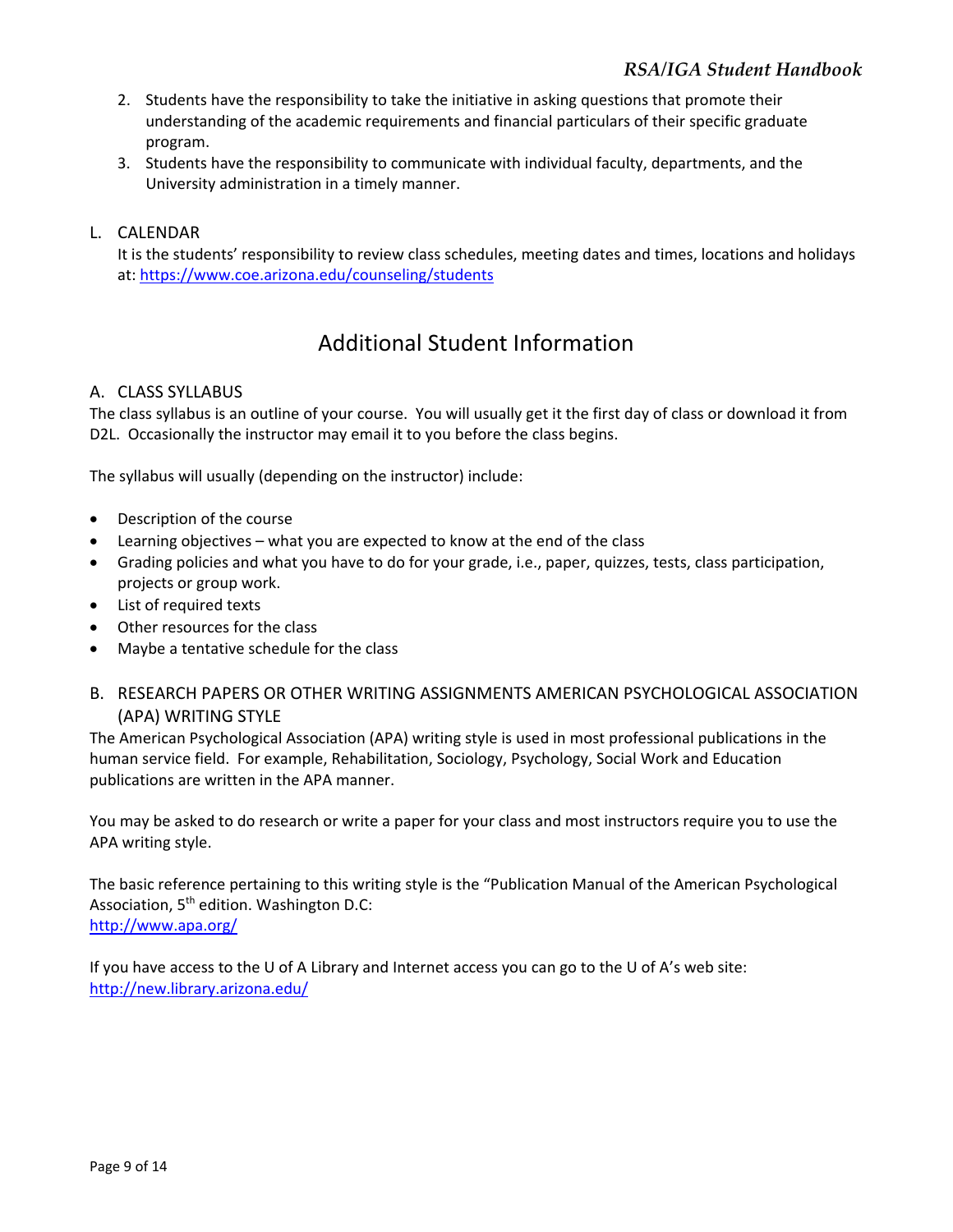- 2. Students have the responsibility to take the initiative in asking questions that promote their understanding of the academic requirements and financial particulars of their specific graduate program.
- 3. Students have the responsibility to communicate with individual faculty, departments, and the University administration in a timely manner.

#### L. CALENDAR

It is the students' responsibility to review class schedules, meeting dates and times, locations and holidays at: https://www.coe.arizona.edu/counseling/students

## Additional Student Information

#### A. CLASS SYLLABUS

The class syllabus is an outline of your course. You will usually get it the first day of class or download it from D2L. Occasionally the instructor may email it to you before the class begins.

The syllabus will usually (depending on the instructor) include:

- Description of the course
- Learning objectives what you are expected to know at the end of the class
- Grading policies and what you have to do for your grade, i.e., paper, quizzes, tests, class participation, projects or group work.
- List of required texts
- Other resources for the class
- Maybe a tentative schedule for the class
- B. RESEARCH PAPERS OR OTHER WRITING ASSIGNMENTS AMERICAN PSYCHOLOGICAL ASSOCIATION (APA) WRITING STYLE

The American Psychological Association (APA) writing style is used in most professional publications in the human service field. For example, Rehabilitation, Sociology, Psychology, Social Work and Education publications are written in the APA manner.

You may be asked to do research or write a paper for your class and most instructors require you to use the APA writing style.

The basic reference pertaining to this writing style is the "Publication Manual of the American Psychological Association, 5<sup>th</sup> edition. Washington D.C: http://www.apa.org/

If you have access to the U of A Library and Internet access you can go to the U of A's web site: http://new.library.arizona.edu/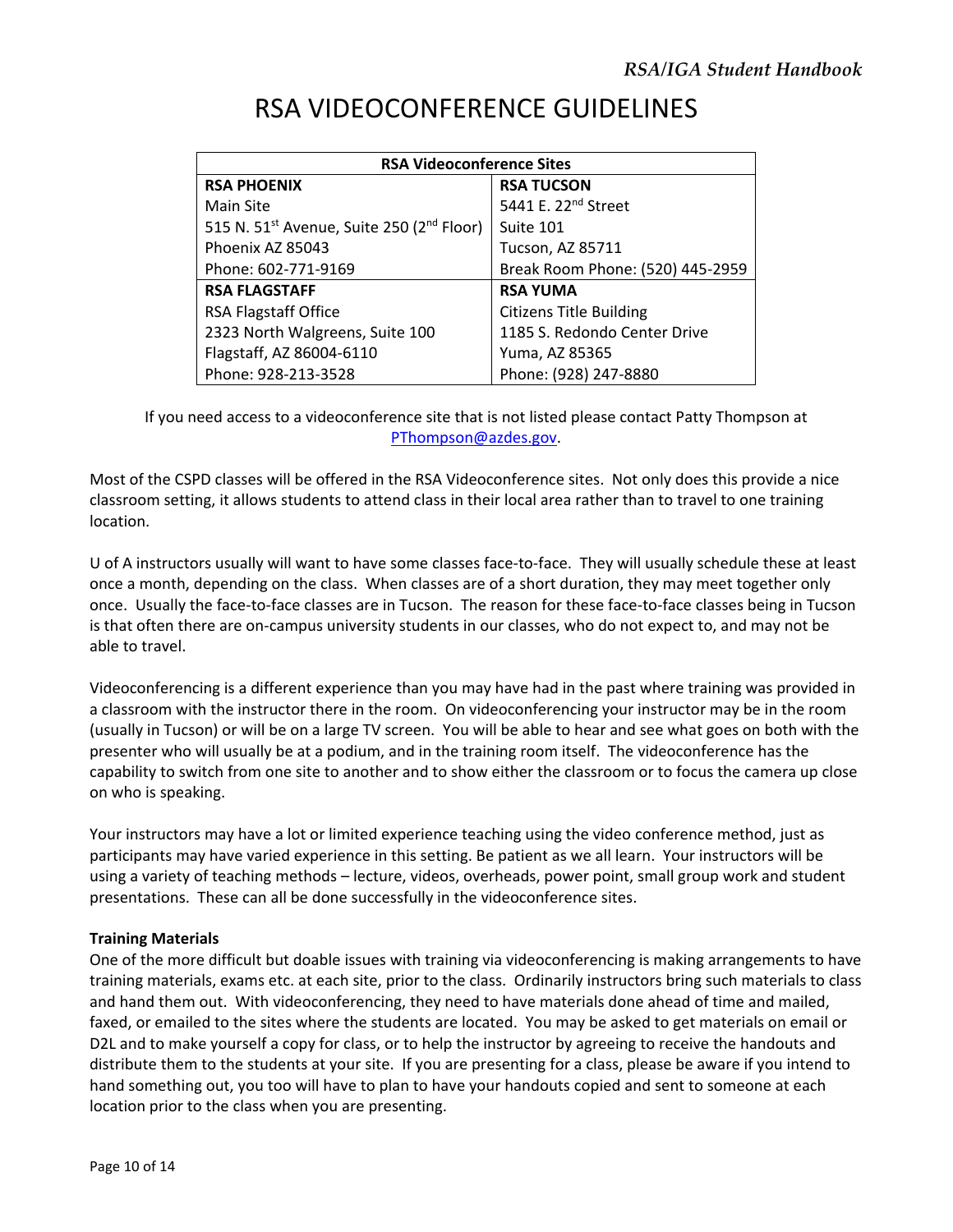| <b>RSA Videoconference Sites</b>                                  |                                  |  |  |  |
|-------------------------------------------------------------------|----------------------------------|--|--|--|
| <b>RSA PHOENIX</b>                                                | <b>RSA TUCSON</b>                |  |  |  |
| Main Site                                                         | 5441 E. 22 <sup>nd</sup> Street  |  |  |  |
| 515 N. 51 <sup>st</sup> Avenue, Suite 250 (2 <sup>nd</sup> Floor) | Suite 101                        |  |  |  |
| Phoenix AZ 85043                                                  | Tucson, AZ 85711                 |  |  |  |
| Phone: 602-771-9169                                               | Break Room Phone: (520) 445-2959 |  |  |  |
| <b>RSA FLAGSTAFF</b>                                              | <b>RSA YUMA</b>                  |  |  |  |
| <b>RSA Flagstaff Office</b>                                       | <b>Citizens Title Building</b>   |  |  |  |
| 2323 North Walgreens, Suite 100                                   | 1185 S. Redondo Center Drive     |  |  |  |
| Flagstaff, AZ 86004-6110                                          | Yuma, AZ 85365                   |  |  |  |
| Phone: 928-213-3528                                               | Phone: (928) 247-8880            |  |  |  |

## RSA VIDEOCONFERENCE GUIDELINES

If you need access to a videoconference site that is not listed please contact Patty Thompson at PThompson@azdes.gov.

Most of the CSPD classes will be offered in the RSA Videoconference sites. Not only does this provide a nice classroom setting, it allows students to attend class in their local area rather than to travel to one training location.

U of A instructors usually will want to have some classes face‐to‐face. They will usually schedule these at least once a month, depending on the class. When classes are of a short duration, they may meet together only once. Usually the face‐to‐face classes are in Tucson. The reason for these face‐to‐face classes being in Tucson is that often there are on‐campus university students in our classes, who do not expect to, and may not be able to travel.

Videoconferencing is a different experience than you may have had in the past where training was provided in a classroom with the instructor there in the room. On videoconferencing your instructor may be in the room (usually in Tucson) or will be on a large TV screen. You will be able to hear and see what goes on both with the presenter who will usually be at a podium, and in the training room itself. The videoconference has the capability to switch from one site to another and to show either the classroom or to focus the camera up close on who is speaking.

Your instructors may have a lot or limited experience teaching using the video conference method, just as participants may have varied experience in this setting. Be patient as we all learn. Your instructors will be using a variety of teaching methods – lecture, videos, overheads, power point, small group work and student presentations. These can all be done successfully in the videoconference sites.

#### **Training Materials**

One of the more difficult but doable issues with training via videoconferencing is making arrangements to have training materials, exams etc. at each site, prior to the class. Ordinarily instructors bring such materials to class and hand them out. With videoconferencing, they need to have materials done ahead of time and mailed, faxed, or emailed to the sites where the students are located. You may be asked to get materials on email or D2L and to make yourself a copy for class, or to help the instructor by agreeing to receive the handouts and distribute them to the students at your site. If you are presenting for a class, please be aware if you intend to hand something out, you too will have to plan to have your handouts copied and sent to someone at each location prior to the class when you are presenting.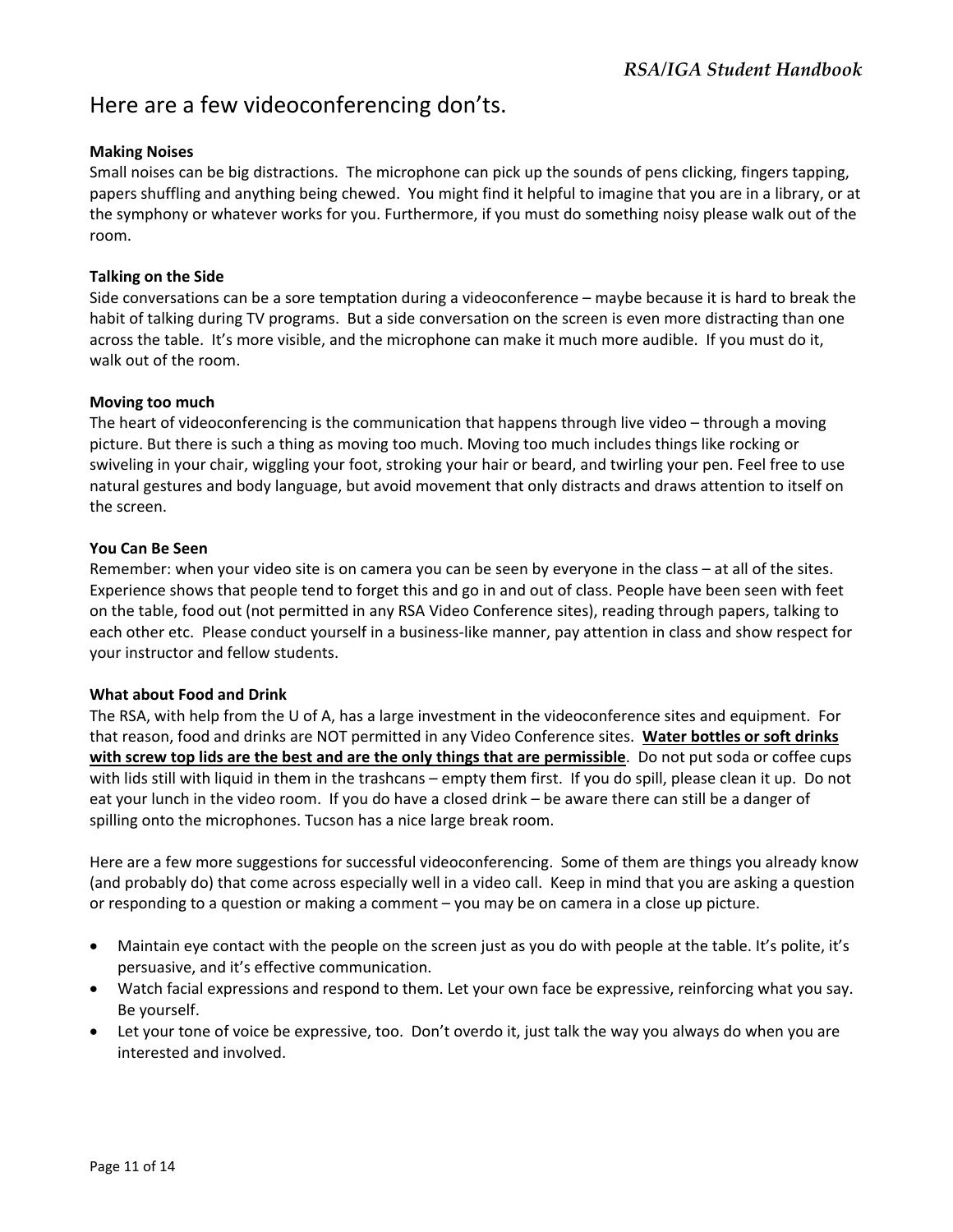## Here are a few videoconferencing don'ts.

#### **Making Noises**

Small noises can be big distractions. The microphone can pick up the sounds of pens clicking, fingers tapping, papers shuffling and anything being chewed. You might find it helpful to imagine that you are in a library, or at the symphony or whatever works for you. Furthermore, if you must do something noisy please walk out of the room.

#### **Talking on the Side**

Side conversations can be a sore temptation during a videoconference – maybe because it is hard to break the habit of talking during TV programs. But a side conversation on the screen is even more distracting than one across the table. It's more visible, and the microphone can make it much more audible. If you must do it, walk out of the room.

#### **Moving too much**

The heart of videoconferencing is the communication that happens through live video – through a moving picture. But there is such a thing as moving too much. Moving too much includes things like rocking or swiveling in your chair, wiggling your foot, stroking your hair or beard, and twirling your pen. Feel free to use natural gestures and body language, but avoid movement that only distracts and draws attention to itself on the screen.

#### **You Can Be Seen**

Remember: when your video site is on camera you can be seen by everyone in the class – at all of the sites. Experience shows that people tend to forget this and go in and out of class. People have been seen with feet on the table, food out (not permitted in any RSA Video Conference sites), reading through papers, talking to each other etc. Please conduct yourself in a business‐like manner, pay attention in class and show respect for your instructor and fellow students.

#### **What about Food and Drink**

The RSA, with help from the U of A, has a large investment in the videoconference sites and equipment. For that reason, food and drinks are NOT permitted in any Video Conference sites. **Water bottles or soft drinks with screw top lids are the best and are the only things that are permissible**. Do not put soda or coffee cups with lids still with liquid in them in the trashcans – empty them first. If you do spill, please clean it up. Do not eat your lunch in the video room. If you do have a closed drink – be aware there can still be a danger of spilling onto the microphones. Tucson has a nice large break room.

Here are a few more suggestions for successful videoconferencing. Some of them are things you already know (and probably do) that come across especially well in a video call. Keep in mind that you are asking a question or responding to a question or making a comment – you may be on camera in a close up picture.

- Maintain eye contact with the people on the screen just as you do with people at the table. It's polite, it's persuasive, and it's effective communication.
- Watch facial expressions and respond to them. Let your own face be expressive, reinforcing what you say. Be yourself.
- Let your tone of voice be expressive, too. Don't overdo it, just talk the way you always do when you are interested and involved.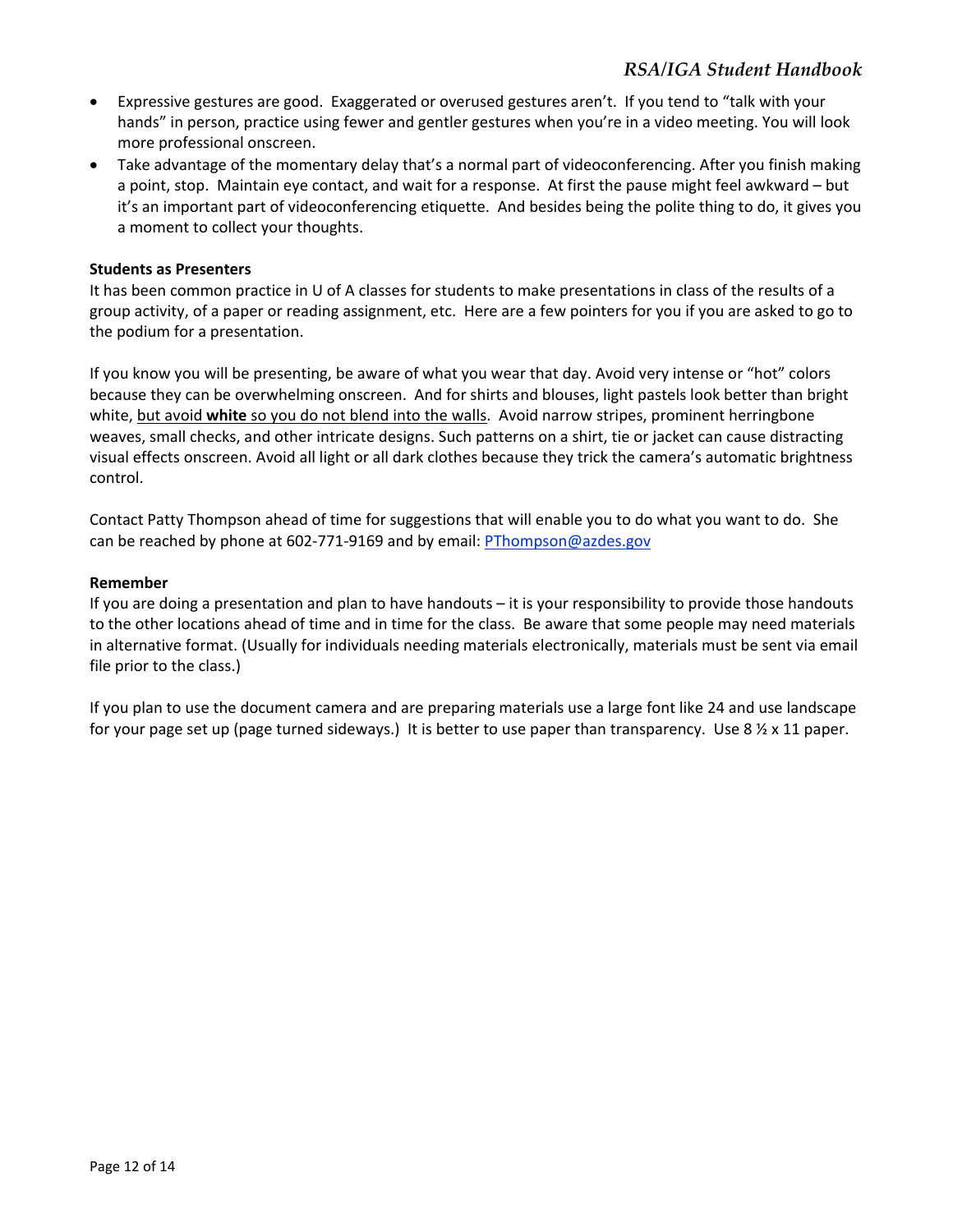- Expressive gestures are good. Exaggerated or overused gestures aren't. If you tend to "talk with your hands" in person, practice using fewer and gentler gestures when you're in a video meeting. You will look more professional onscreen.
- Take advantage of the momentary delay that's a normal part of videoconferencing. After you finish making a point, stop. Maintain eye contact, and wait for a response. At first the pause might feel awkward – but it's an important part of videoconferencing etiquette. And besides being the polite thing to do, it gives you a moment to collect your thoughts.

#### **Students as Presenters**

It has been common practice in U of A classes for students to make presentations in class of the results of a group activity, of a paper or reading assignment, etc. Here are a few pointers for you if you are asked to go to the podium for a presentation.

If you know you will be presenting, be aware of what you wear that day. Avoid very intense or "hot" colors because they can be overwhelming onscreen. And for shirts and blouses, light pastels look better than bright white, but avoid white so you do not blend into the walls. Avoid narrow stripes, prominent herringbone weaves, small checks, and other intricate designs. Such patterns on a shirt, tie or jacket can cause distracting visual effects onscreen. Avoid all light or all dark clothes because they trick the camera's automatic brightness control.

Contact Patty Thompson ahead of time for suggestions that will enable you to do what you want to do. She can be reached by phone at 602‐771‐9169 and by email: PThompson@azdes.gov

#### **Remember**

If you are doing a presentation and plan to have handouts – it is your responsibility to provide those handouts to the other locations ahead of time and in time for the class. Be aware that some people may need materials in alternative format. (Usually for individuals needing materials electronically, materials must be sent via email file prior to the class.)

If you plan to use the document camera and are preparing materials use a large font like 24 and use landscape for your page set up (page turned sideways.) It is better to use paper than transparency. Use 8  $\frac{1}{2}$  x 11 paper.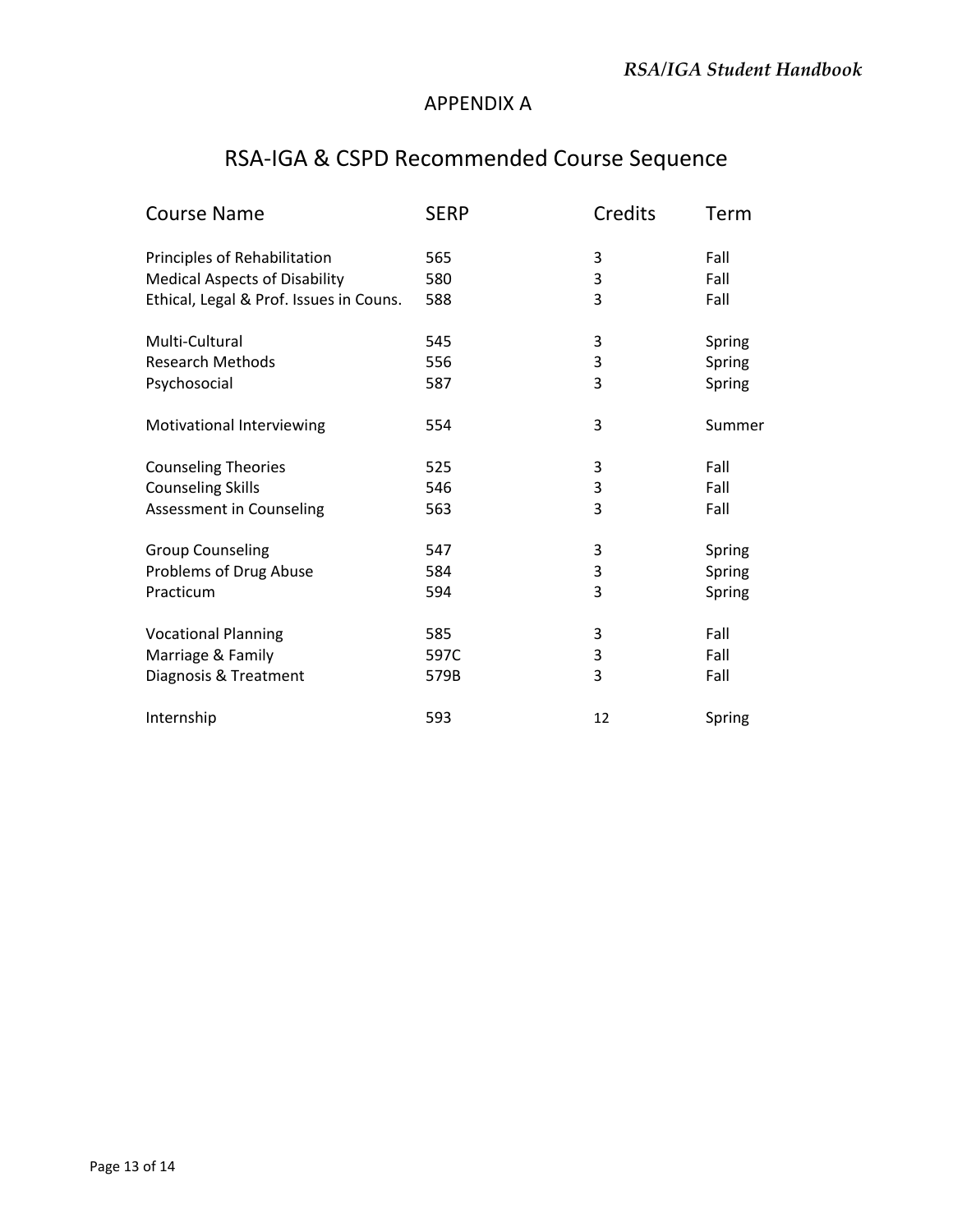### APPENDIX A

## RSA‐IGA & CSPD Recommended Course Sequence

| <b>Course Name</b>                      | <b>SERP</b> | Credits | Term   |
|-----------------------------------------|-------------|---------|--------|
| Principles of Rehabilitation            | 565         | 3       | Fall   |
| <b>Medical Aspects of Disability</b>    | 580         | 3       | Fall   |
| Ethical, Legal & Prof. Issues in Couns. | 588         | 3       | Fall   |
| Multi-Cultural                          | 545         | 3       | Spring |
| <b>Research Methods</b>                 | 556         | 3       | Spring |
| Psychosocial                            | 587         | 3       | Spring |
| Motivational Interviewing               | 554         | 3       | Summer |
| <b>Counseling Theories</b>              | 525         | 3       | Fall   |
| <b>Counseling Skills</b>                | 546         | 3       | Fall   |
| Assessment in Counseling                | 563         | 3       | Fall   |
| <b>Group Counseling</b>                 | 547         | 3       | Spring |
| Problems of Drug Abuse                  | 584         | 3       | Spring |
| Practicum                               | 594         | 3       | Spring |
| <b>Vocational Planning</b>              | 585         | 3       | Fall   |
| Marriage & Family                       | 597C        | 3       | Fall   |
| Diagnosis & Treatment                   | 579B        | 3       | Fall   |
| Internship                              | 593         | 12      | Spring |